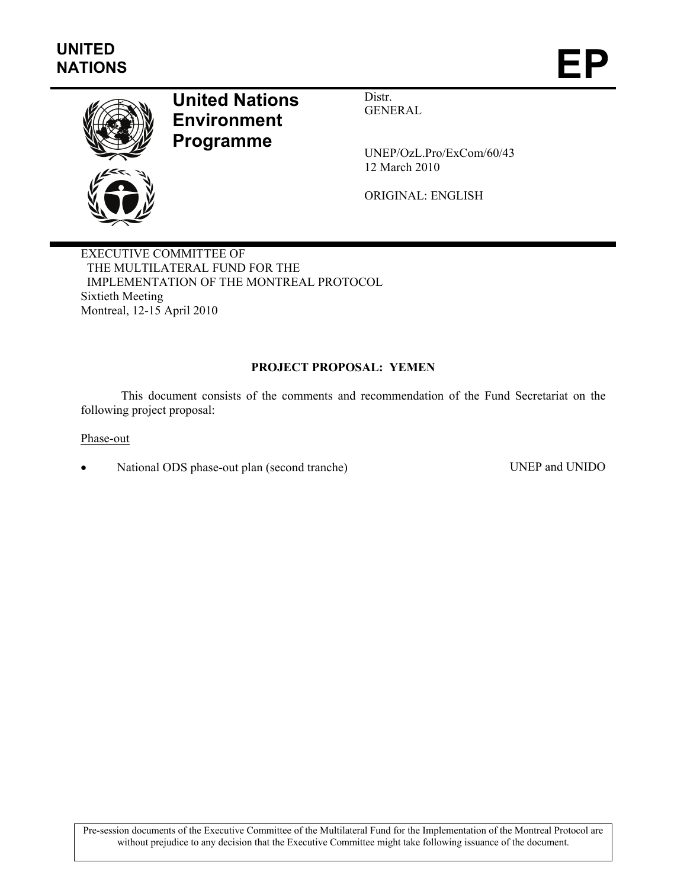

# **United Nations Environment Programme**

Distr. GENERAL

UNEP/OzL.Pro/ExCom/60/43 12 March 2010

ORIGINAL: ENGLISH

EXECUTIVE COMMITTEE OF THE MULTILATERAL FUND FOR THE IMPLEMENTATION OF THE MONTREAL PROTOCOL Sixtieth Meeting Montreal, 12-15 April 2010

# **PROJECT PROPOSAL: YEMEN**

This document consists of the comments and recommendation of the Fund Secretariat on the following project proposal:

Phase-out

• National ODS phase-out plan (second tranche) UNEP and UNIDO

Pre-session documents of the Executive Committee of the Multilateral Fund for the Implementation of the Montreal Protocol are without prejudice to any decision that the Executive Committee might take following issuance of the document.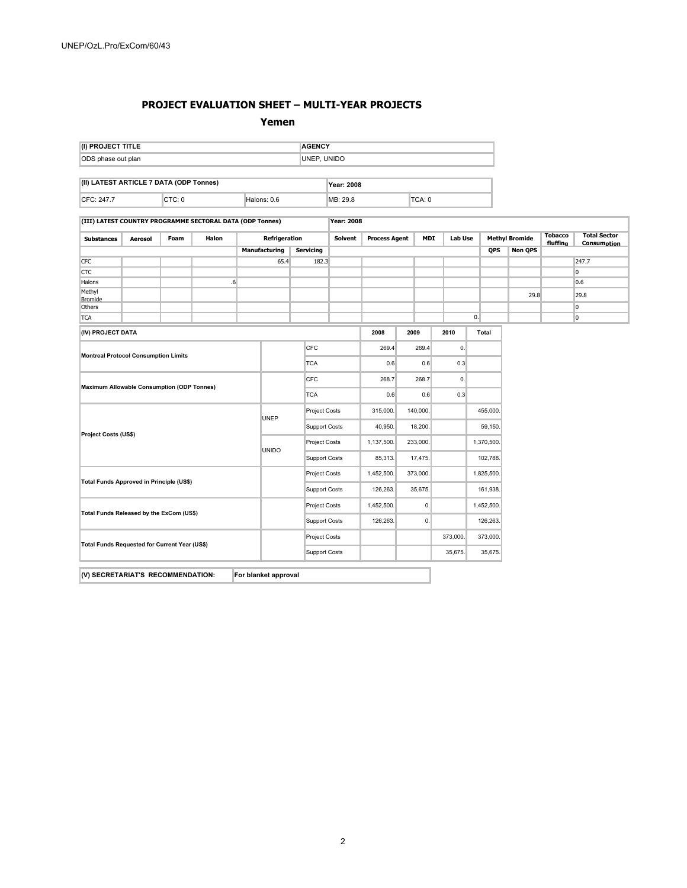#### **PROJECT EVALUATION SHEET – MULTI-YEAR PROJECTS**

#### **Yemen**

| (I) PROJECT TITLE  |                                         | <b>AGENCY</b> |  |  |  |  |  |
|--------------------|-----------------------------------------|---------------|--|--|--|--|--|
| ODS phase out plan |                                         | UNEP. UNIDO   |  |  |  |  |  |
|                    |                                         |               |  |  |  |  |  |
|                    | (II) LATEST ARTICLE 7 DATA (ODP Tonnes) | Year: 2008    |  |  |  |  |  |
|                    |                                         |               |  |  |  |  |  |

#### **(III) LATEST COUNTRY PROGRAMME SECTORAL DATA (ODP Tonnes) Year: 2008**

| <b>Substances</b>                             | Refrigeration<br>Halon<br>Foam<br>Aerosol |  | <b>Solvent</b> |                      | <b>Process Agent</b> |                  | MDI        | Lab Use  |                | <b>Methyl Bromide</b> | <b>Tobacco</b><br>fluffina | <b>Total Sector</b><br><b>Consumption</b> |                |  |       |
|-----------------------------------------------|-------------------------------------------|--|----------------|----------------------|----------------------|------------------|------------|----------|----------------|-----------------------|----------------------------|-------------------------------------------|----------------|--|-------|
|                                               |                                           |  |                |                      | Manufacturing        | <b>Servicing</b> |            |          |                |                       |                            | QPS                                       | <b>Non QPS</b> |  |       |
| <b>CFC</b>                                    |                                           |  |                |                      | 65.4                 | 182.3            |            |          |                |                       |                            |                                           |                |  | 247.7 |
| <b>CTC</b>                                    |                                           |  |                |                      |                      |                  |            |          |                |                       |                            |                                           |                |  | 0     |
| Halons                                        |                                           |  | .6             |                      |                      |                  |            |          |                |                       |                            |                                           |                |  | 0.6   |
| Methyl<br>Bromide                             |                                           |  |                |                      |                      |                  |            |          |                |                       |                            |                                           | 29.8           |  | 29.8  |
| Others                                        |                                           |  |                |                      |                      |                  |            |          |                |                       |                            |                                           |                |  | 0     |
| <b>TCA</b>                                    |                                           |  |                |                      |                      |                  |            |          |                |                       |                            | 0.                                        |                |  | lo.   |
| (IV) PROJECT DATA                             |                                           |  |                |                      |                      |                  |            | 2008     | 2009           |                       | 2010                       | Total                                     |                |  |       |
| <b>Montreal Protocol Consumption Limits</b>   |                                           |  |                | <b>CFC</b>           |                      | 269.4            |            | 269.4    | $\mathbf{0}$ . |                       |                            |                                           |                |  |       |
|                                               |                                           |  |                | <b>TCA</b>           |                      | 0.6              |            | 0.6      | 0.3            |                       |                            |                                           |                |  |       |
|                                               |                                           |  |                | <b>CFC</b>           |                      | 268.7            |            | 268.7    | 0.             |                       |                            |                                           |                |  |       |
| Maximum Allowable Consumption (ODP Tonnes)    |                                           |  |                | <b>TCA</b>           |                      | 0.6              | 0.6        |          | 0.3            |                       |                            |                                           |                |  |       |
|                                               |                                           |  |                |                      | Project Costs        |                  | 140,000.   |          |                | 455,000.              |                            |                                           |                |  |       |
|                                               |                                           |  |                | <b>UNEP</b>          | <b>Support Costs</b> |                  | 40,950.    |          | 18,200.        |                       | 59,150.                    |                                           |                |  |       |
| Project Costs (US\$)                          |                                           |  |                | Project Costs        |                      | 1,137,500.       |            | 233,000. |                | 1,370,500.            |                            |                                           |                |  |       |
|                                               |                                           |  | <b>UNIDO</b>   |                      | Support Costs        |                  | 17,475.    |          |                | 102,788.              |                            |                                           |                |  |       |
|                                               |                                           |  |                |                      | <b>Project Costs</b> |                  | 1,452,500. |          | 373,000.       |                       | 1,825,500.                 |                                           |                |  |       |
| Total Funds Approved in Principle (US\$)      |                                           |  |                | <b>Support Costs</b> |                      | 126,263.         |            | 35,675.  |                | 161,938.              |                            |                                           |                |  |       |
|                                               |                                           |  |                |                      | <b>Project Costs</b> |                  | 1,452,500. |          | 0.             |                       | 1,452,500.                 |                                           |                |  |       |
| Total Funds Released by the ExCom (US\$)      |                                           |  |                | <b>Support Costs</b> |                      | 126,263.         |            | 0.       |                | 126,263.              |                            |                                           |                |  |       |
|                                               |                                           |  |                | Project Costs        |                      |                  |            |          | 373,000.       | 373,000.              |                            |                                           |                |  |       |
| Total Funds Requested for Current Year (US\$) |                                           |  |                | Support Costs        |                      |                  |            |          | 35,675.        | 35,675.               |                            |                                           |                |  |       |

2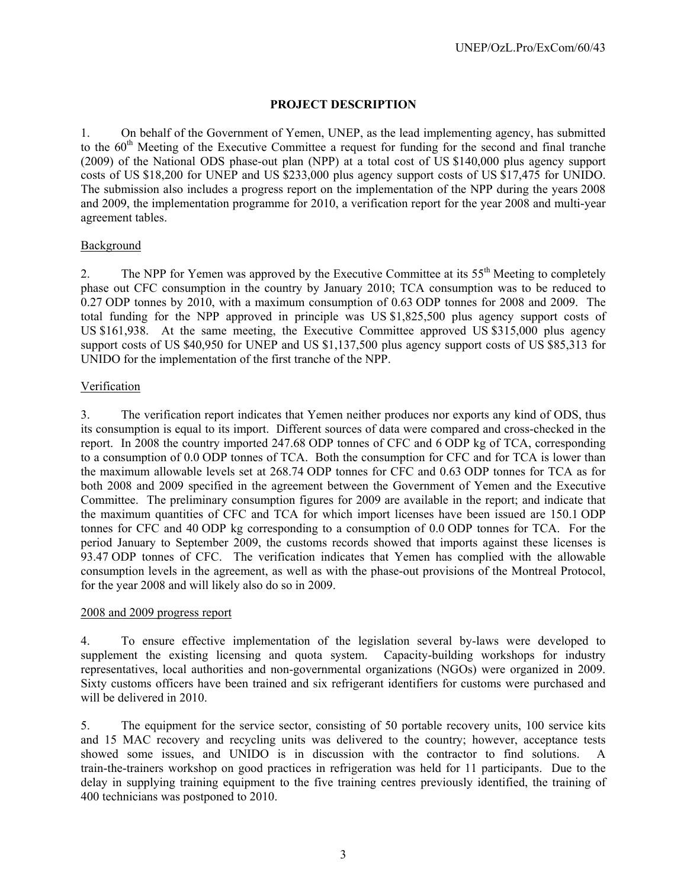# **PROJECT DESCRIPTION**

1. On behalf of the Government of Yemen, UNEP, as the lead implementing agency, has submitted to the  $60<sup>th</sup>$  Meeting of the Executive Committee a request for funding for the second and final tranche (2009) of the National ODS phase-out plan (NPP) at a total cost of US \$140,000 plus agency support costs of US \$18,200 for UNEP and US \$233,000 plus agency support costs of US \$17,475 for UNIDO. The submission also includes a progress report on the implementation of the NPP during the years 2008 and 2009, the implementation programme for 2010, a verification report for the year 2008 and multi-year agreement tables.

### **Background**

2. The NPP for Yemen was approved by the Executive Committee at its 55<sup>th</sup> Meeting to completely phase out CFC consumption in the country by January 2010; TCA consumption was to be reduced to 0.27 ODP tonnes by 2010, with a maximum consumption of 0.63 ODP tonnes for 2008 and 2009. The total funding for the NPP approved in principle was US \$1,825,500 plus agency support costs of US \$161,938. At the same meeting, the Executive Committee approved US \$315,000 plus agency support costs of US \$40,950 for UNEP and US \$1,137,500 plus agency support costs of US \$85,313 for UNIDO for the implementation of the first tranche of the NPP.

# Verification

3. The verification report indicates that Yemen neither produces nor exports any kind of ODS, thus its consumption is equal to its import. Different sources of data were compared and cross-checked in the report. In 2008 the country imported 247.68 ODP tonnes of CFC and 6 ODP kg of TCA, corresponding to a consumption of 0.0 ODP tonnes of TCA. Both the consumption for CFC and for TCA is lower than the maximum allowable levels set at 268.74 ODP tonnes for CFC and 0.63 ODP tonnes for TCA as for both 2008 and 2009 specified in the agreement between the Government of Yemen and the Executive Committee. The preliminary consumption figures for 2009 are available in the report; and indicate that the maximum quantities of CFC and TCA for which import licenses have been issued are 150.1 ODP tonnes for CFC and 40 ODP kg corresponding to a consumption of 0.0 ODP tonnes for TCA. For the period January to September 2009, the customs records showed that imports against these licenses is 93.47 ODP tonnes of CFC. The verification indicates that Yemen has complied with the allowable consumption levels in the agreement, as well as with the phase-out provisions of the Montreal Protocol, for the year 2008 and will likely also do so in 2009.

#### 2008 and 2009 progress report

4. To ensure effective implementation of the legislation several by-laws were developed to supplement the existing licensing and quota system. Capacity-building workshops for industry representatives, local authorities and non-governmental organizations (NGOs) were organized in 2009. Sixty customs officers have been trained and six refrigerant identifiers for customs were purchased and will be delivered in 2010.

5. The equipment for the service sector, consisting of 50 portable recovery units, 100 service kits and 15 MAC recovery and recycling units was delivered to the country; however, acceptance tests showed some issues, and UNIDO is in discussion with the contractor to find solutions. A train-the-trainers workshop on good practices in refrigeration was held for 11 participants. Due to the delay in supplying training equipment to the five training centres previously identified, the training of 400 technicians was postponed to 2010.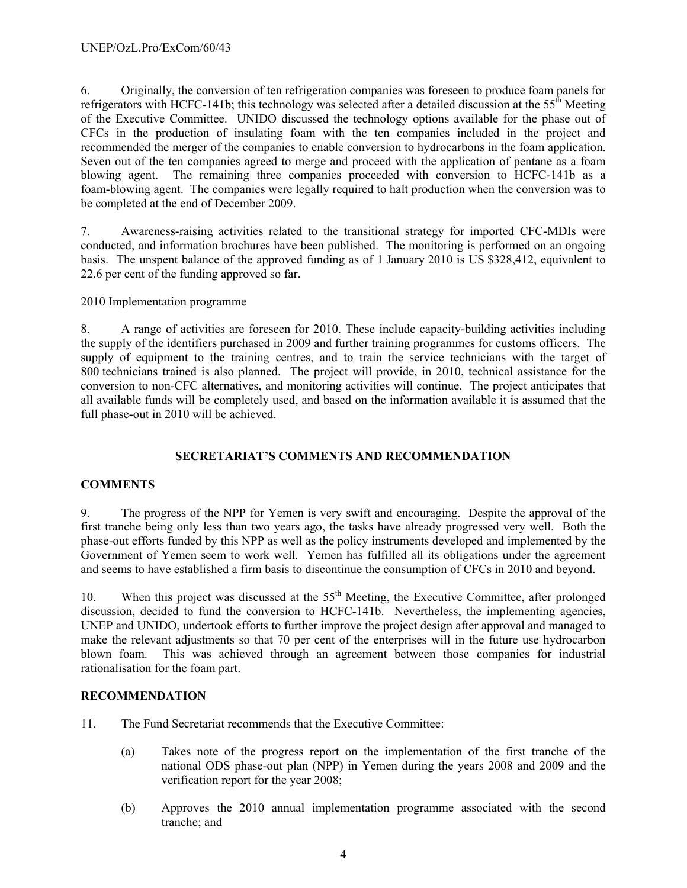6. Originally, the conversion of ten refrigeration companies was foreseen to produce foam panels for refrigerators with HCFC-141b; this technology was selected after a detailed discussion at the 55<sup>th</sup> Meeting of the Executive Committee. UNIDO discussed the technology options available for the phase out of CFCs in the production of insulating foam with the ten companies included in the project and recommended the merger of the companies to enable conversion to hydrocarbons in the foam application. Seven out of the ten companies agreed to merge and proceed with the application of pentane as a foam blowing agent. The remaining three companies proceeded with conversion to HCFC-141b as a foam-blowing agent. The companies were legally required to halt production when the conversion was to be completed at the end of December 2009.

7. Awareness-raising activities related to the transitional strategy for imported CFC-MDIs were conducted, and information brochures have been published. The monitoring is performed on an ongoing basis. The unspent balance of the approved funding as of 1 January 2010 is US \$328,412, equivalent to 22.6 per cent of the funding approved so far.

#### 2010 Implementation programme

8. A range of activities are foreseen for 2010. These include capacity-building activities including the supply of the identifiers purchased in 2009 and further training programmes for customs officers. The supply of equipment to the training centres, and to train the service technicians with the target of 800 technicians trained is also planned. The project will provide, in 2010, technical assistance for the conversion to non-CFC alternatives, and monitoring activities will continue. The project anticipates that all available funds will be completely used, and based on the information available it is assumed that the full phase-out in 2010 will be achieved.

# **SECRETARIAT'S COMMENTS AND RECOMMENDATION**

# **COMMENTS**

9. The progress of the NPP for Yemen is very swift and encouraging. Despite the approval of the first tranche being only less than two years ago, the tasks have already progressed very well. Both the phase-out efforts funded by this NPP as well as the policy instruments developed and implemented by the Government of Yemen seem to work well. Yemen has fulfilled all its obligations under the agreement and seems to have established a firm basis to discontinue the consumption of CFCs in 2010 and beyond.

10. When this project was discussed at the 55<sup>th</sup> Meeting, the Executive Committee, after prolonged discussion, decided to fund the conversion to HCFC-141b. Nevertheless, the implementing agencies, UNEP and UNIDO, undertook efforts to further improve the project design after approval and managed to make the relevant adjustments so that 70 per cent of the enterprises will in the future use hydrocarbon blown foam. This was achieved through an agreement between those companies for industrial rationalisation for the foam part.

#### **RECOMMENDATION**

- 11. The Fund Secretariat recommends that the Executive Committee:
	- (a) Takes note of the progress report on the implementation of the first tranche of the national ODS phase-out plan (NPP) in Yemen during the years 2008 and 2009 and the verification report for the year 2008;
	- (b) Approves the 2010 annual implementation programme associated with the second tranche; and